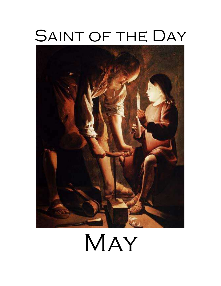# SAINT OF THE DAY



# MAY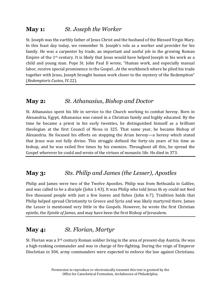# **May 1:** *St. Joseph the Worker*

St. Joseph was the earthly father of Jesus Christ and the husband of the Blessed Virgin Mary. In this feast day today, we remember St. Joseph's role as a worker and provider for his family. He was a carpenter by trade, an important and useful job in the growing Roman Empire of the 1st century. It is likely that Jesus would have helped Joseph in his work as a child and young man. Pope St. John Paul II wrote, "Human work, and especially manual labor, receive special prominence in the Gospel…At the workbench where he plied his trade together with Jesus, Joseph brought human work closer to the mystery of the Redemption" (*Redemptoris Custos,* IV.22).

#### **May 2:** *St. Athanasius, Bishop and Doctor*

St. Athanasius spent his life in service to the Church working to combat heresy. Born in Alexandria, Egypt, Athanasius was raised in a Christian family and highly educated. By the time he became a priest in his early twenties, he distinguished himself as a brilliant theologian at the first Council of Nicea in 325. That same year, he became Bishop of Alexandria. He focused his efforts on stopping the Arian heresy—a heresy which stated that Jesus was not fully divine. This struggle defined the forty-six years of his time as bishop, and he was exiled five times by his enemies. Throughout all this, he spread the Gospel wherever he could and wrote of the virtues of monastic life. He died in 373.

# **May 3:** *Sts. Philip and James (the Lesser), Apostles*

Philip and James were two of the Twelve Apostles. Philip was from Bethsaida in Galilee, and was called to be a disciple (John 1:43). It was Philip who told Jesus th ey could not feed five thousand people with just a few loaves and fishes (John 6:7). Tradition holds that Philip helped spread Christianity to Greece and Syria and was likely martyred there. James the Lesser is mentioned very little in the Gospels. However, he wrote the first Christian epistle, the *Epistle of James*, and may have been the first Bishop of Jerusalem.

# **May 4:** *St. Florian, Martyr*

St. Florian was a 3rd century Roman soldier living in the area of present-day Austria. He was a high-ranking commander and was in charge of fire-fighting. During the reign of Emperor Diocletian in 304, army commanders were expected to enforce the law against Christians.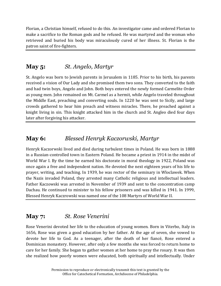Florian, a Christian himself, refused to do this. An investigator came and ordered Florian to make a sacrifice to the Roman gods and he refused. He was martyred and the woman who retrieved and buried his body was miraculously cured of her illness. St. Florian is the patron saint of fire-fighters.

# **May 5:** *St. Angelo, Martyr*

St. Angelo was born to Jewish parents in Jerusalem in 1185. Prior to his birth, his parents received a vision of Our Lady and she promised them two sons. They converted to the faith and had twin boys, Angelo and John. Both boys entered the newly formed Carmelite Order as young men. John remained on Mt. Carmel as a hermit, while Angelo traveled throughout the Middle East, preaching and converting souls. In 1220 he was sent to Sicily, and large crowds gathered to hear him preach and witness miracles. There, he preached against a knight living in sin. This knight attacked him in the church and St. Angleo died four days later after forgiving his attacker.

# **May 6:** *Blessed Henryk Kaczorwski, Martyr*

Henryk Kaczorwski lived and died during turbulent times in Poland. He was born in 1888 in a Russian-controlled town in Eastern Poland. He became a priest in 1914 in the midst of World War I. By the time he earned his doctorate in moral theology in 1922, Poland was once again a free and independent nation. He devoted the next eighteen years of his life to prayer, writing, and teaching. In 1939, he was rector of the seminary in Wloclawek. When the Nazis invaded Poland, they arrested many Catholic religious and intellectual leaders. Father Kaczowski was arrested in November of 1939 and sent to the concentration camp Dachau. He continued to minister to his fellow prisoners and was killed in 1941. In 1999, Blessed Henryk Kaczrowski was named one of the 108 Martyrs of World War II.

#### **May 7:** *St. Rose Venerini*

Rose Venerini devoted her life to the education of young women. Born in Viterbo, Italy in 1656, Rose was given a good education by her father. At the age of seven, she vowed to devote her life to God. As a teenager, after the death of her fiancé, Rose entered a Dominican monastery. However, after only a few months she was forced to return home to care for her family. She began to gather women at her home to pray the rosary. It was then she realized how poorly women were educated, both spiritually and intellectually. Under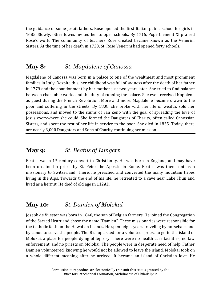the guidance of some Jesuit fathers, Rose opened the first Italian public school for girls in 1685. Slowly, other towns invited her to open schools. By 1716, Pope Clement XI praised Rose's work. The community of teachers Rose created became known as the Venerini Sisters. At the time of her death in 1728, St. Rose Venerini had opened forty schools.

# **May 8:** *St. Magdalene of Canossa*

Magdalene of Canossa was born in a palace to one of the wealthiest and most prominent families in Italy. Despite this, her childhood was full of sadness after the death of her father in 1779 and the abandonment by her mother just two years later. She tried to find balance between charitable works and the duty of running the palace. She even received Napoleon as guest during the French Revolution. More and more, Magdalene became drawn to the poor and suffering in the streets. By 1808, she broke with her life of wealth, sold her possessions, and moved to the slums of San Zeno with the goal of spreading the love of Jesus everywhere she could. She formed the Daughters of Charity, often called Canossian Sisters, and spent the rest of her life in service to the poor. She died in 1835. Today, there are nearly 3,000 Daughters and Sons of Charity continuing her mission.

# **May 9:** *St. Beatus of Lungern*

Beatus was a  $1<sup>st</sup>$  century convert to Christianity. He was born in England, and may have been ordained a priest by St. Peter the Apostle in Rome. Beatus was then sent as a missionary to Switzerland. There, he preached and converted the many mountain tribes living in the Alps. Towards the end of his life, he retreated to a cave near Lake Thun and lived as a hermit. He died of old age in 112AD.

# **May 10:** *St. Damien of Molokai*

Joseph de Vuester was born in 1840, the son of Belgian farmers. He joined the Congregation of the Sacred Heart and chose the name "Damien". These missionaries were responsible for the Catholic faith on the Hawaiian Islands. He spent eight years traveling by horseback and by canoe to serve the people. The Bishop asked for a volunteer priest to go to the island of Molokai, a place for people dying of leprosy. There were no health care facilities, no law enforcement, and no priests on Molokai. The people were in desperate need of help. Father Damien volunteered, knowing he would not be allowed to leave the island. Molokai took on a whole different meaning after he arrived. It became an island of Christian love. He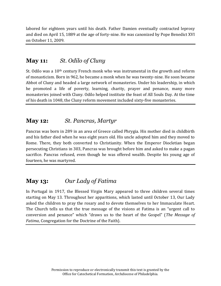labored for eighteen years until his death. Father Damien eventually contracted leprosy and died on April 15, 1889 at the age of forty-nine. He was canonized by Pope Benedict XVI on October 11, 2009.

#### **May 11:** *St. Odilo of Cluny*

St. Odilo was a  $10<sup>th</sup>$  century French monk who was instrumental in the growth and reform of monasticism. Born in 962, he became a monk when he was twenty-nine. He soon became Abbot of Cluny and headed a large network of monasteries. Under his leadership, in which he promoted a life of poverty, learning, charity, prayer and penance, many more monasteries joined with Cluny. Odilo helped institute the feast of All Souls Day. At the time of his death in 1048, the Cluny reform movement included sixty-five monasteries.

#### **May 12:** *St. Pancras, Martyr*

Pancras was born in 289 in an area of Greece called Phrygia. His mother died in childbirth and his father died when he was eight years old. His uncle adopted him and they moved to Rome. There, they both converted to Christianity. When the Emperor Diocletian began persecuting Christians in 303, Pancras was brought before him and asked to make a pagan sacrifice. Pancras refused, even though he was offered wealth. Despite his young age of fourteen, he was martyred.

# **May 13:** *Our Lady of Fatima*

In Portugal in 1917, the Blessed Virgin Mary appeared to three children several times starting on May 13. Throughout her apparitions, which lasted until October 13, Our Lady asked the children to pray the rosary and to devote themselves to her Immaculate Heart. The Church tells us that the true message of the visions at Fatima is an "urgent call to conversion and penance" which "draws us to the heart of the Gospel" (*The Message of Fatima*, Congregation for the Doctrine of the Faith).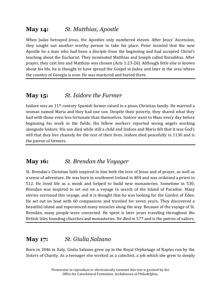# **May 14:** *St. Matthias, Apostle*

When Judas betrayed Jesus, the Apostles only numbered eleven. After Jesus' Ascension, they sought out another worthy person to take his place. Peter insisted that the new Apostle be a man who had been a disciple from the beginning and had accepted Christ's teaching about the Eucharist. They nominated Matthias and Joseph called Barsabbas. After prayer, they cast lots and Matthias was chosen (Acts 1:23-26). Although little else is known about his life, he is thought to have spread the Gospel in Judea and later in the area where the country of Georgia is now. He was martyred and buried there.

# **May 15:** *St. Isidore the Farmer*

Isidore was an 11th century Spanish farmer raised in a pious Christian family. He married a woman named Maria and they had one son. Despite their poverty, they shared what they had with those even less fortunate than themselves. Isidore went to Mass every day before beginning his work in the fields. His fellow workers reported seeing angels working alongside Isidore. His son died while still a child and Isidore and Maria felt that it was God's will that they live chastely for the rest of their lives. Isidore died peacefully in 1130 and is the patron of farmers.

# **May 16:** *St. Brendan the Voyager*

St. Brendan's Christian faith inspired in him both the love of Jesus and of prayer, as well as a sense of adventure. He was born in southwest Ireland in 484 and was ordained a priest in 512. He lived life as a monk and helped to build new monasteries. Sometime in 530, Brendan was inspired to set out on a voyage in search of the Island of Paradise. Many stories surround this voyage, and it is thought that he was looking for the Garden of Eden. He set out on boat with 60 companions and traveled for seven years. They discovered a beautiful island and experienced many miracles along the way. Because of the voyage of St. Brendan, many people were converted. He spent is later years traveling throughout the British Isles founding churches and monasteries. He died in 577 and is the patron of sailors.

# **May 17:** *St. Giulia Salzano*

Born in 1846 in Italy, Giulia Salzano grew up in the Royal Orphanage of Naples run by the Sisters of Charity. As a teenager she worked as a catechist, a job which she grew to deeply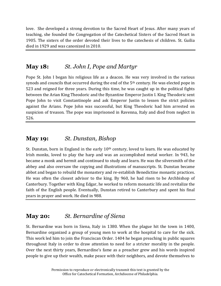love. She developed a strong devotion to the Sacred Heart of Jesus. After many years of teaching, she founded the Congregation of the Catechetical Sisters of the Sacred Heart in 1905. The sisters of the order devoted their lives to the catechesis of children. St. Guilia died in 1929 and was canonized in 2010.

#### **May 18:** *St. John I, Pope and Martyr*

Pope St. John I began his religious life as a deacon. He was very involved in the various synods and councils that occurred during the end of the  $5<sup>th</sup>$  century. He was elected pope in 523 and reigned for three years. During this time, he was caught up in the political fights between the Arian King Theodoric and the Byzantine Emperor Justin I. King Theodoric sent Pope John to visit Constantinople and ask Emperor Justin to lessen the strict policies against the Arians. Pope John was successful, but King Theodoric had him arrested on suspicion of treason. The pope was imprisoned in Ravenna, Italy and died from neglect in 526.

#### **May 19:** *St. Dunstan, Bishop*

St. Dunstan, born in England in the early  $10<sup>th</sup>$  century, loved to learn. He was educated by Irish monks, loved to play the harp and was an accomplished metal worker. In 943, he became a monk and hermit and continued to study and learn. He was the silversmith of the abbey and also oversaw the copying and illustrations of manuscripts. St. Dunstan became abbot and began to rebuild the monastery and re-establish Benedictine monastic practices. He was often the closest advisor to the king. By 960, he had risen to be Archbishop of Canterbury. Together with King Edgar, he worked to reform monastic life and revitalize the faith of the English people. Eventually, Dunstan retired to Canterbury and spent his final years in prayer and work. He died in 988.

#### **May 20:** *St. Bernardine of Siena*

St. Bernardine was born in Siena, Italy in 1380. When the plague hit the town in 1400, Bernardine organized a group of young men to work at the hospital to care for the sick. This work led him to join the Franciscan Order. 1404 he began preaching in public squares throughout Italy in order to draw attention to need for a stricter morality in the people. Over the next thirty years, Bernardine's fame as a preacher grew and his words inspired people to give up their wealth, make peace with their neighbors, and devote themselves to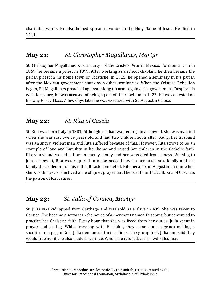charitable works. He also helped spread devotion to the Holy Name of Jesus. He died in 1444.

# **May 21:** *St. Christopher Magallanes, Martyr*

St. Christopher Magallanes was a martyr of the Cristero War in Mexico. Born on a farm in 1869, he became a priest in 1899. After working as a school chaplain, he then became the parish priest in his home town of Totatiche. In 1915, he opened a seminary in his parish after the Mexican government shut down other seminaries. When the Cristero Rebellion began, Fr. Magallanes preached against taking up arms against the government. Despite his wish for peace, he was accused of being a part of the rebellion in 1927. He was arrested on his way to say Mass. A few days later he was executed with St. Augustin Caloca.

# **May 22:** *St. Rita of Cascia*

St. Rita was born Italy in 1381. Although she had wanted to join a convent, she was married when she was just twelve years old and had two children soon after. Sadly, her husband was an angry, violent man and Rita suffered because of this. However, Rita strove to be an example of love and humility in her home and raised her children in the Catholic faith. Rita's husband was killed by an enemy family and her sons died from illness. Wishing to join a convent, Rita was required to make peace between her husband's family and the family that killed him. This difficult task completed, Rita became an Augustinian nun when she was thirty-six. She lived a life of quiet prayer until her death in 1457. St. Rita of Cascia is the patron of lost causes.

# **May 23:** *St. Julia of Corsica, Martyr*

St. Julia was kidnapped from Carthage and was sold as a slave in 439. She was taken to Corsica. She became a servant in the house of a merchant named Eusebius, but continued to practice her Christian faith. Every hour that she was freed from her duties, Julia spent in prayer and fasting. While traveling with Eusebius, they came upon a group making a sacrifice to a pagan God. Julia denounced their actions. The group took Julia and said they would free her if she also made a sacrifice. When she refused, the crowd killed her.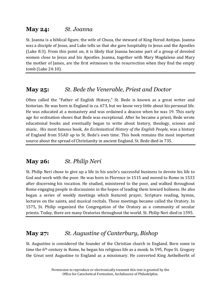#### **May 24:** *St. Joanna*

St. Joanna is a biblical figure, the wife of Chuza, the steward of King Herod Antipas. Joanna was a disciple of Jesus, and Luke tells us that she gave hospitality to Jesus and the Apostles (Luke 8:3). From this point on, it is likely that Joanna became part of a group of devoted women close to Jesus and his Apostles. Joanna, together with Mary Magdalene and Mary the mother of James, are the first witnesses to the resurrection when they find the empty tomb (Luke 24:10).

# **May 25:** *St. Bede the Venerable, Priest and Doctor*

Often called the "Father of English History," St. Bede is known as a great writer and historian. He was born in England in ca. 673, but we know very little about his personal life. He was educated at a monastery and was ordained a deacon when he was 19. This early age for ordination shows that Bede was exceptional. After he became a priest, Bede wrote educational books and eventually began to write about history, theology, science and music. His most famous book, *An Ecclesiastical History of the English People*, was a history of England from 55AD up to St. Bede's own time. This book remains the most important source about the spread of Christianity in ancient England. St. Bede died in 735.

#### **May 26:** *St. Philip Neri*

St. Philip Neri chose to give up a life in his uncle's successful business to devote his life to God and work with the poor. He was born in Florence in 1515 and moved to Rome in 1533 after discerning his vocation. He studied, ministered to the poor, and walked throughout Rome engaging people in discussions in the hopes of leading them toward holiness. He also began a series of weekly meetings which featured prayer, Scripture reading, hymns, lectures on the saints, and musical recitals. These meetings became called the Oratory. In 1575, St. Philip organized the Congregation of the Oratory as a community of secular priests. Today, there are many Oratories throughout the world. St. Philip Neri died in 1595.

# **May 27:** *St. Augustine of Canterbury, Bishop*

St. Augustine is considered the founder of the Christian church in England. Born some in time the 6th century in Rome, he began his religious life as a monk. In 595, Pope St. Gregory the Great sent Augustine to England as a missionary. He converted King Aethelberht of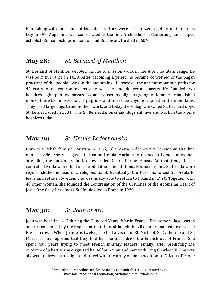Kent, along with thousands of his subjects. They were all baptized together on Christmas Day in 597. Augustine was consecrated as the first Archbishop of Canterbury and helped establish Roman bishops in London and Rochester. He died in 604.

#### **May 28:** *St. Bernard of Menthon*

St. Bernard of Menthon devoted his life to mission work in the Alps mountain range. He was born in France in 1020. After becoming a priest, he became concerned of the pagan practices of the people living in the mountains. He traveled the ancient mountain paths for 42 years, often confronting extreme weather and dangerous passes. He founded two hospices high up in two passes frequently used by pilgrims going to Rome. He established monks there to minister to the pilgrims and to rescue anyone trapped in the mountains. They used large dogs to aid in their work, and today these dogs are called St. Bernard dogs. St. Bernard died in 1081. The St. Bernard monks and dogs still live and work in the alpine hospices today.

#### **May 29:** *St. Ursula Ledóchowska*

Born to a Polish family in Austria in 1865, Julia Maria Ledóchowska became an Ursuline nun in 1886. She was given the name Ursula Maria. She opened a home for women attending the university in Krakow called St. Catherine House. At that time, Russia controlled Krakow and had outlawed Catholic institutions. Because of this, St. Ursula wore regular clothes instead of a religious habit. Eventually, the Russians forced St. Ursula to leave and settle in Sweden. She was finally able to return to Poland in 1920. Together with 40 other women, she founded the Congregation of the Ursulines of the Agonizing Heart of Jesus (the Grey Ursulines). St. Ursula died in Rome in 1939.

#### **May 30:** *St. Joan of Arc*

Joan was born in 1412 during the Hundred Years' War in France. Her home village was in an area controlled by the English at that time, although the villagers remained loyal to the French crown. When Joan was twelve, she had a vision of St. Michael, St. Catherine and St. Margaret and reported that they told her she must drive the English out of France. She spent four years trying to meet French military leaders. Finally, after predicting the outcome of a battle, she disguised herself as a man and met with King Charles VII. She was allowed to dress as a knight and travel with the army on an expedition to Orleans. Despite